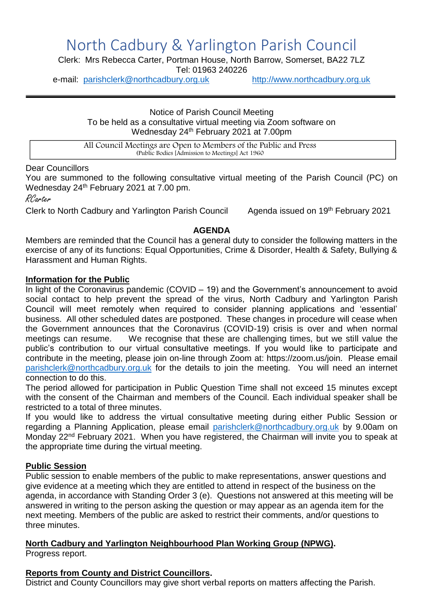# North Cadbury & Yarlington Parish Council

Clerk: Mrs Rebecca Carter, Portman House, North Barrow, Somerset, BA22 7LZ Tel: 01963 240226

e-mail: [parishclerk@northcadbury.org.uk](mailto:parishclerk@northcadbury.org.uk) [http://www.northcadbury.org.uk](http://www.northcadbury.org.uk/)

Notice of Parish Council Meeting To be held as a consultative virtual meeting via Zoom software on Wednesday 24th February 2021 at 7.00pm

All Council Meetings are Open to Members of the Public and Press (Public Bodies [Admission to Meetings] Act 1960

# Dear Councillors

You are summoned to the following consultative virtual meeting of the Parish Council (PC) on Wednesday 24<sup>th</sup> February 2021 at 7.00 pm.

RCarter

Clerk to North Cadbury and Yarlington Parish Council Agenda issued on 19<sup>th</sup> February 2021

#### **AGENDA**

Members are reminded that the Council has a general duty to consider the following matters in the exercise of any of its functions: Equal Opportunities, Crime & Disorder, Health & Safety, Bullying & Harassment and Human Rights.

#### **Information for the Public**

In light of the Coronavirus pandemic (COVID – 19) and the Government's announcement to avoid social contact to help prevent the spread of the virus, North Cadbury and Yarlington Parish Council will meet remotely when required to consider planning applications and 'essential' business. All other scheduled dates are postponed. These changes in procedure will cease when the Government announces that the Coronavirus (COVID-19) crisis is over and when normal meetings can resume. We recognise that these are challenging times, but we still value the public's contribution to our virtual consultative meetings. If you would like to participate and contribute in the meeting, please join on-line through Zoom at: https://zoom.us/join. Please email [parishclerk@northcadbury.org.uk](mailto:parishclerk@northcadbury.org.uk) for the details to join the meeting. You will need an internet connection to do this.

The period allowed for participation in Public Question Time shall not exceed 15 minutes except with the consent of the Chairman and members of the Council. Each individual speaker shall be restricted to a total of three minutes.

If you would like to address the virtual consultative meeting during either Public Session or regarding a Planning Application, please email [parishclerk@northcadbury.org.uk](mailto:parishclerk@northcadbury.org.uk) by 9.00am on Monday 22<sup>nd</sup> February 2021. When you have registered, the Chairman will invite you to speak at the appropriate time during the virtual meeting.

# **Public Session**

Public session to enable members of the public to make representations, answer questions and give evidence at a meeting which they are entitled to attend in respect of the business on the agenda, in accordance with Standing Order 3 (e). Questions not answered at this meeting will be answered in writing to the person asking the question or may appear as an agenda item for the next meeting. Members of the public are asked to restrict their comments, and/or questions to three minutes.

#### **North Cadbury and Yarlington Neighbourhood Plan Working Group (NPWG).** Progress report.

# **Reports from County and District Councillors.**

District and County Councillors may give short verbal reports on matters affecting the Parish.